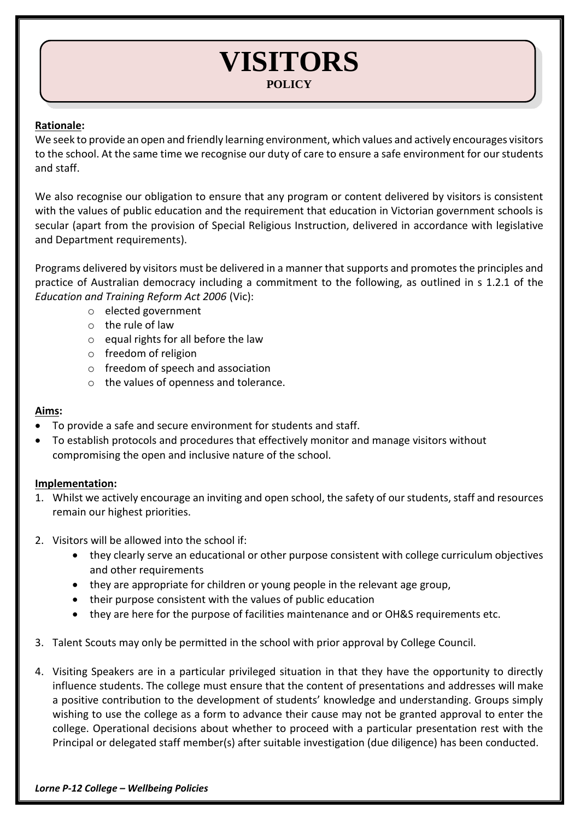# **VISITORS POLICY**

## **Rationale:**

We seek to provide an open and friendly learning environment, which values and actively encourages visitors to the school. At the same time we recognise our duty of care to ensure a safe environment for our students and staff.

We also recognise our obligation to ensure that any program or content delivered by visitors is consistent with the values of public education and the requirement that education in Victorian government schools is secular (apart from the provision of Special Religious Instruction, delivered in accordance with legislative and Department requirements).

Programs delivered by visitors must be delivered in a manner that supports and promotes the principles and practice of Australian democracy including a commitment to the following, as outlined in s 1.2.1 of the *Education and Training Reform Act 2006* (Vic):

- o elected government
- o the rule of law
- $\circ$  equal rights for all before the law
- o freedom of religion
- o freedom of speech and association
- o the values of openness and tolerance.

### **Aims:**

- To provide a safe and secure environment for students and staff.
- To establish protocols and procedures that effectively monitor and manage visitors without compromising the open and inclusive nature of the school.

### **Implementation:**

- 1. Whilst we actively encourage an inviting and open school, the safety of our students, staff and resources remain our highest priorities.
- 2. Visitors will be allowed into the school if:
	- they clearly serve an educational or other purpose consistent with college curriculum objectives and other requirements
	- they are appropriate for children or young people in the relevant age group,
	- their purpose consistent with the values of public education
	- they are here for the purpose of facilities maintenance and or OH&S requirements etc.
- 3. Talent Scouts may only be permitted in the school with prior approval by College Council.
- 4. Visiting Speakers are in a particular privileged situation in that they have the opportunity to directly influence students. The college must ensure that the content of presentations and addresses will make a positive contribution to the development of students' knowledge and understanding. Groups simply wishing to use the college as a form to advance their cause may not be granted approval to enter the college. Operational decisions about whether to proceed with a particular presentation rest with the Principal or delegated staff member(s) after suitable investigation (due diligence) has been conducted.